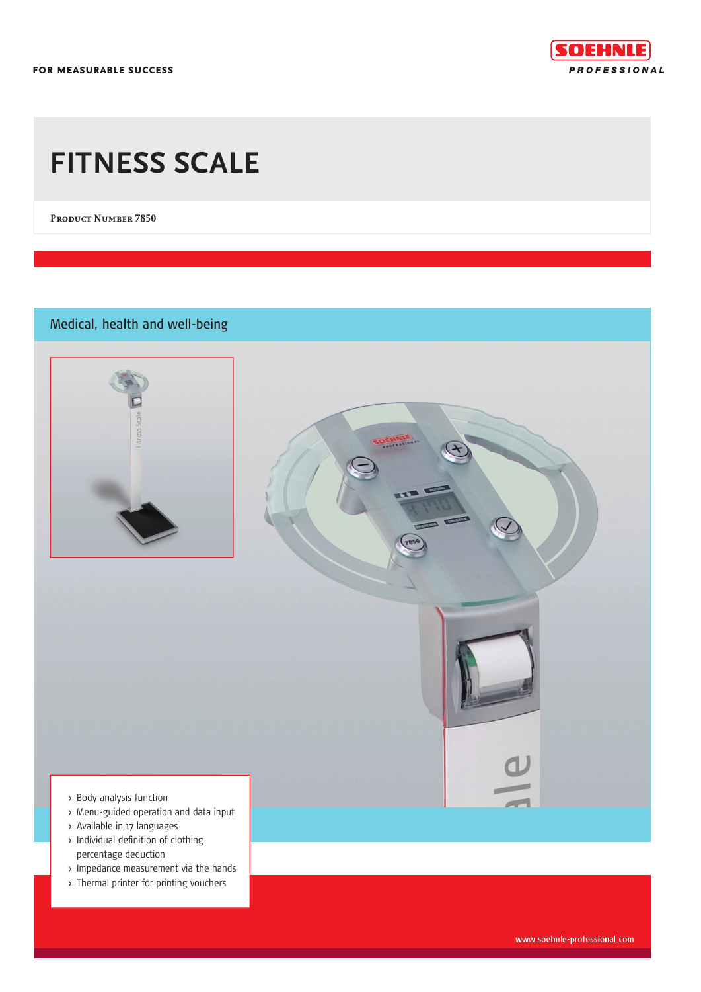FOR MEASURABLE SUCCESS



# **FITNESS SCALE**

PRODUCT NUMBER 7850

Medical, health and well-being



- > Body analysis function
- > Menu-guided operation and data input
- > Available in 17 languages
- > Individual definition of clothing percentage deduction
- > Impedance measurement via the hands
- > Thermal printer for printing vouchers